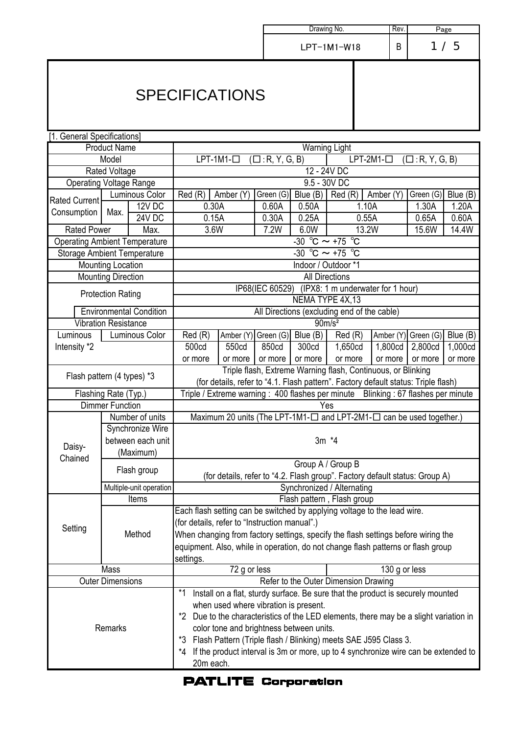|                                      |                           |                                                                                       | Drawing No.                                                                                                                                                           |       |       |                               | Rev.<br>Page                                                                |                    |           |                   |          |
|--------------------------------------|---------------------------|---------------------------------------------------------------------------------------|-----------------------------------------------------------------------------------------------------------------------------------------------------------------------|-------|-------|-------------------------------|-----------------------------------------------------------------------------|--------------------|-----------|-------------------|----------|
|                                      |                           |                                                                                       |                                                                                                                                                                       |       |       | LPT-1M1-W18                   |                                                                             | B                  | 1/5       |                   |          |
|                                      |                           |                                                                                       | <b>SPECIFICATIONS</b>                                                                                                                                                 |       |       |                               |                                                                             |                    |           |                   |          |
| [1. General Specifications]          |                           |                                                                                       |                                                                                                                                                                       |       |       |                               |                                                                             |                    |           |                   |          |
|                                      | <b>Product Name</b>       |                                                                                       | <b>Warning Light</b>                                                                                                                                                  |       |       |                               |                                                                             |                    |           |                   |          |
|                                      | Model                     |                                                                                       | $LPT-1M1-$<br>$LPT-2M1-$<br>$(\Box: R, Y, G, B)$<br>$(\Box: R, Y, G, B)$                                                                                              |       |       |                               |                                                                             |                    |           |                   |          |
|                                      | Rated Voltage             |                                                                                       | $12 - 24V$ DC                                                                                                                                                         |       |       |                               |                                                                             |                    |           |                   |          |
| <b>Operating Voltage Range</b>       |                           |                                                                                       | 9.5 - 30V DC<br>Green (G) Blue (B)                                                                                                                                    |       |       |                               |                                                                             |                    |           |                   |          |
| <b>Rated Current</b>                 |                           | Luminous Color<br>$12V$ DC                                                            | Red(R)<br>Amber (Y)<br>0.30A<br>0.60A                                                                                                                                 |       | 0.50A | Red (R)<br>Amber (Y)<br>1.10A |                                                                             | Green (G)<br>1.30A |           | Blue (B)<br>1.20A |          |
| Consumption                          | Max.                      | <b>24V DC</b>                                                                         | 0.15A                                                                                                                                                                 |       | 0.30A | 0.25A                         | 0.55A                                                                       |                    | 0.65A     |                   | 0.60A    |
| <b>Rated Power</b>                   |                           | Max.                                                                                  | 3.6W                                                                                                                                                                  |       | 7.2W  | 6.0W                          |                                                                             |                    | 15.6W     |                   | 14.4W    |
| <b>Operating Ambient Temperature</b> |                           |                                                                                       | 13.2W<br>-30 °C $\sim$ +75 °C                                                                                                                                         |       |       |                               |                                                                             |                    |           |                   |          |
| <b>Storage Ambient Temperature</b>   |                           |                                                                                       | $-30$ °C $\sim$ +75 °C                                                                                                                                                |       |       |                               |                                                                             |                    |           |                   |          |
|                                      | Mounting Location         |                                                                                       |                                                                                                                                                                       |       |       | Indoor / Outdoor *1           |                                                                             |                    |           |                   |          |
|                                      | <b>Mounting Direction</b> |                                                                                       | <b>All Directions</b>                                                                                                                                                 |       |       |                               |                                                                             |                    |           |                   |          |
|                                      | <b>Protection Rating</b>  |                                                                                       | IP68(IEC 60529) (IPX8: 1 m underwater for 1 hour)                                                                                                                     |       |       |                               |                                                                             |                    |           |                   |          |
|                                      |                           |                                                                                       | NEMA TYPE 4X,13                                                                                                                                                       |       |       |                               |                                                                             |                    |           |                   |          |
|                                      |                           | <b>Environmental Condition</b>                                                        | All Directions (excluding end of the cable)                                                                                                                           |       |       |                               |                                                                             |                    |           |                   |          |
| <b>Vibration Resistance</b>          |                           | 90m/s <sup>2</sup><br>Amber $(Y)$ Green $(G)$ Blue $(B)$                              |                                                                                                                                                                       |       |       |                               |                                                                             |                    |           |                   |          |
| Luminous                             | Luminous Color            |                                                                                       | Red(R)                                                                                                                                                                |       |       |                               | Red(R)                                                                      | Amber (Y)          | Green (G) |                   | Blue (B) |
| Intensity *2                         |                           |                                                                                       | 500cd                                                                                                                                                                 | 550cd | 850cd | 300cd                         | 1,650cd                                                                     | 1,800cd            | 2,800cd   |                   | 1,000cd  |
|                                      |                           |                                                                                       | or more<br>or more<br>or more<br>or more<br>or more<br>or more<br>or more<br>or more<br>Triple flash, Extreme Warning flash, Continuous, or Blinking                  |       |       |                               |                                                                             |                    |           |                   |          |
| Flash pattern (4 types) *3           |                           |                                                                                       | (for details, refer to "4.1. Flash pattern". Factory default status: Triple flash)                                                                                    |       |       |                               |                                                                             |                    |           |                   |          |
|                                      | Flashing Rate (Typ.)      |                                                                                       | Triple / Extreme warning: 400 flashes per minute Blinking: 67 flashes per minute                                                                                      |       |       |                               |                                                                             |                    |           |                   |          |
|                                      | <b>Dimmer Function</b>    |                                                                                       | Yes                                                                                                                                                                   |       |       |                               |                                                                             |                    |           |                   |          |
|                                      | Number of units           |                                                                                       | Maximum 20 units (The LPT-1M1- $\square$ and LPT-2M1- $\square$ can be used together.)                                                                                |       |       |                               |                                                                             |                    |           |                   |          |
|                                      | Synchronize Wire          |                                                                                       |                                                                                                                                                                       |       |       |                               |                                                                             |                    |           |                   |          |
| Daisy-                               | between each unit         |                                                                                       | $3m *4$                                                                                                                                                               |       |       |                               |                                                                             |                    |           |                   |          |
| Chained                              |                           | (Maximum)                                                                             |                                                                                                                                                                       |       |       |                               |                                                                             |                    |           |                   |          |
|                                      |                           | Flash group                                                                           |                                                                                                                                                                       |       |       |                               | Group A / Group B                                                           |                    |           |                   |          |
|                                      |                           |                                                                                       |                                                                                                                                                                       |       |       |                               | (for details, refer to "4.2. Flash group". Factory default status: Group A) |                    |           |                   |          |
|                                      |                           | Multiple-unit operation                                                               |                                                                                                                                                                       |       |       |                               | Synchronized / Alternating                                                  |                    |           |                   |          |
|                                      |                           | Items                                                                                 | Flash pattern, Flash group                                                                                                                                            |       |       |                               |                                                                             |                    |           |                   |          |
|                                      | Method                    |                                                                                       | Each flash setting can be switched by applying voltage to the lead wire.                                                                                              |       |       |                               |                                                                             |                    |           |                   |          |
| Setting                              |                           |                                                                                       | (for details, refer to "Instruction manual".)                                                                                                                         |       |       |                               |                                                                             |                    |           |                   |          |
|                                      |                           |                                                                                       | When changing from factory settings, specify the flash settings before wiring the<br>equipment. Also, while in operation, do not change flash patterns or flash group |       |       |                               |                                                                             |                    |           |                   |          |
|                                      |                           |                                                                                       | settings.                                                                                                                                                             |       |       |                               |                                                                             |                    |           |                   |          |
| Mass                                 |                           |                                                                                       | 72 g or less                                                                                                                                                          |       |       |                               | 130 g or less                                                               |                    |           |                   |          |
| <b>Outer Dimensions</b>              |                           |                                                                                       | Refer to the Outer Dimension Drawing                                                                                                                                  |       |       |                               |                                                                             |                    |           |                   |          |
|                                      |                           | Install on a flat, sturdy surface. Be sure that the product is securely mounted<br>*1 |                                                                                                                                                                       |       |       |                               |                                                                             |                    |           |                   |          |
|                                      |                           | when used where vibration is present.                                                 |                                                                                                                                                                       |       |       |                               |                                                                             |                    |           |                   |          |
|                                      |                           |                                                                                       | Due to the characteristics of the LED elements, there may be a slight variation in<br>*2                                                                              |       |       |                               |                                                                             |                    |           |                   |          |
| Remarks                              |                           | color tone and brightness between units.                                              |                                                                                                                                                                       |       |       |                               |                                                                             |                    |           |                   |          |
|                                      |                           | Flash Pattern (Triple flash / Blinking) meets SAE J595 Class 3.<br>*3                 |                                                                                                                                                                       |       |       |                               |                                                                             |                    |           |                   |          |
|                                      |                           |                                                                                       | If the product interval is 3m or more, up to 4 synchronize wire can be extended to<br>*4                                                                              |       |       |                               |                                                                             |                    |           |                   |          |
|                                      |                           |                                                                                       | 20m each.                                                                                                                                                             |       |       |                               |                                                                             |                    |           |                   |          |

## **PATLITE Corporation**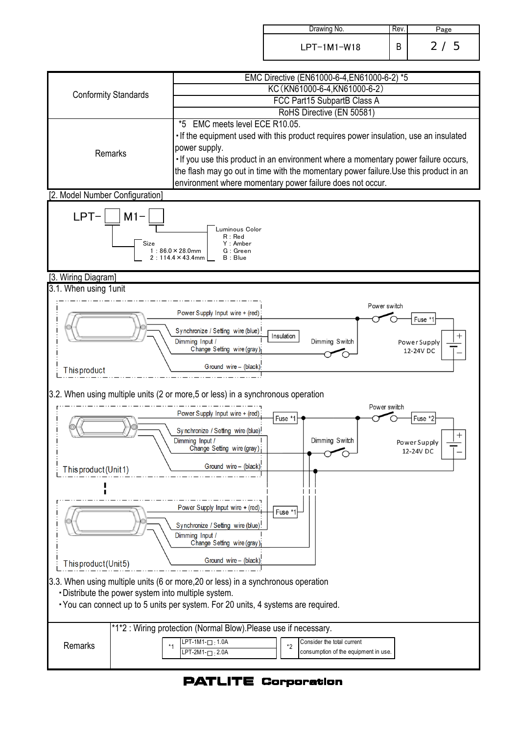| Drawing No.   | Kev. | Page              |
|---------------|------|-------------------|
| $LPT-1M1-W18$ |      | $\mathbf{2}$<br>5 |



## **PATLITE Corporation**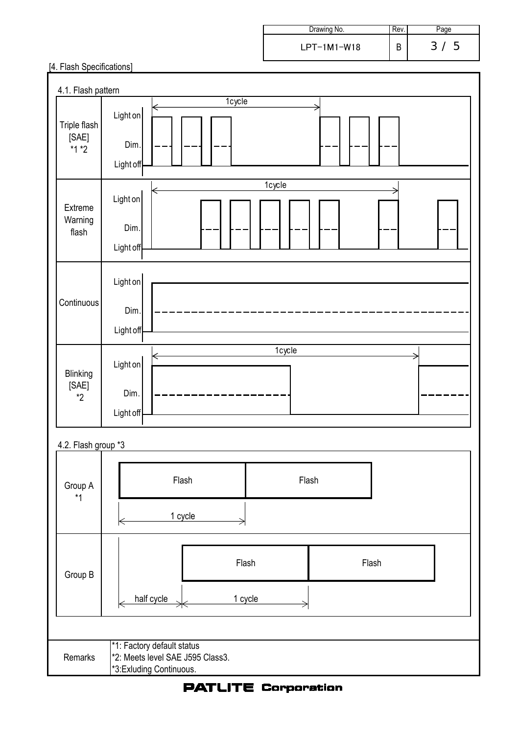| Drawing No.   | Rev. |                    |
|---------------|------|--------------------|
| $LPT-1M1-W18$ |      | 5<br>$\mathcal{B}$ |

## [4. Flash Specifications]

| 4.1. Flash pattern               |                                              |
|----------------------------------|----------------------------------------------|
| Triple flash<br>[SAE]<br>$*1*2$  | 1cycle<br>Light on                           |
|                                  | Dim.<br>Light off                            |
| Extreme<br>Warning<br>flash      | 1cycle<br>∈<br>Light on<br>Dim.<br>Light off |
| Continuous                       | Light on<br>Dim.<br>Light off                |
| Blinking<br>[SAE]<br>$^{\star}2$ | 1cycle<br>Light on<br>Dim.<br>Light off      |
| 4.2. Flash group *3              |                                              |

| Group A<br>$*1$ | Flash                                                                                      | Flash |       |  |  |  |  |
|-----------------|--------------------------------------------------------------------------------------------|-------|-------|--|--|--|--|
|                 | 1 cycle                                                                                    |       |       |  |  |  |  |
| Group B         | Flash                                                                                      |       | Flash |  |  |  |  |
|                 | half cycle<br>1 cycle                                                                      |       |       |  |  |  |  |
|                 |                                                                                            |       |       |  |  |  |  |
| Remarks         | *1: Factory default status<br>*2: Meets level SAE J595 Class3.<br>*3: Exluding Continuous. |       |       |  |  |  |  |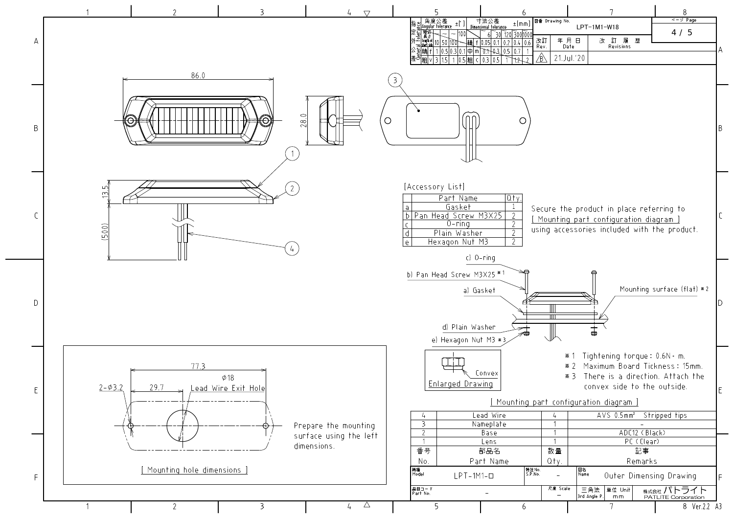